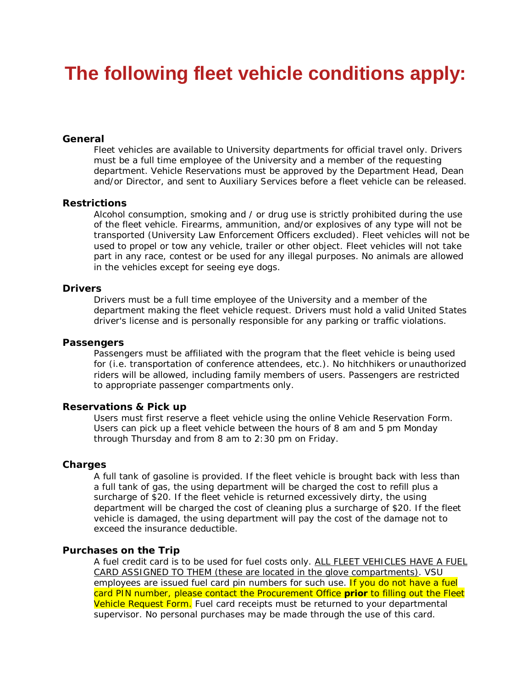# **The following fleet vehicle conditions apply:**

## *General*

Fleet vehicles are available to University departments for official travel only. Drivers must be a full time employee of the University and a member of the requesting department. Vehicle Reservations must be approved by the Department Head, Dean and/or Director, and sent to Auxiliary Services before a fleet vehicle can be released.

#### *Restrictions*

Alcohol consumption, smoking and / or drug use is strictly prohibited during the use of the fleet vehicle. Firearms, ammunition, and/or explosives of any type will not be transported (University Law Enforcement Officers excluded). Fleet vehicles will not be used to propel or tow any vehicle, trailer or other object. Fleet vehicles will not take part in any race, contest or be used for any illegal purposes. No animals are allowed in the vehicles except for seeing eye dogs.

#### *Drivers*

Drivers must be a full time employee of the University and a member of the department making the fleet vehicle request. Drivers must hold a valid United States driver's license and is personally responsible for any parking or traffic violations.

#### *Passengers*

Passengers must be affiliated with the program that the fleet vehicle is being used for (i.e. transportation of conference attendees, etc.). No hitchhikers or unauthorized riders will be allowed, including family members of users. Passengers are restricted to appropriate passenger compartments only.

## *Reservations & Pick up*

Users must first reserve a fleet vehicle using the online Vehicle Reservation Form. Users can pick up a fleet vehicle between the hours of 8 am and 5 pm Monday through Thursday and from 8 am to 2:30 pm on Friday.

#### *Charges*

A full tank of gasoline is provided. If the fleet vehicle is brought back with less than a full tank of gas, the using department will be charged the cost to refill plus a surcharge of \$20. If the fleet vehicle is returned excessively dirty, the using department will be charged the cost of cleaning plus a surcharge of \$20. If the fleet vehicle is damaged, the using department will pay the cost of the damage not to exceed the insurance deductible.

#### *Purchases on the Trip*

A fuel credit card is to be used for fuel costs only. ALL FLEET VEHICLES HAVE A FUEL CARD ASSIGNED TO THEM (these are located in the glove compartments). VSU employees are issued fuel card pin numbers for such use. If you do not have a fuel card PIN number, please contact the Procurement Office *prior* to filling out the Fleet Vehicle Request Form. Fuel card receipts must be returned to your departmental supervisor. No personal purchases may be made through the use of this card.